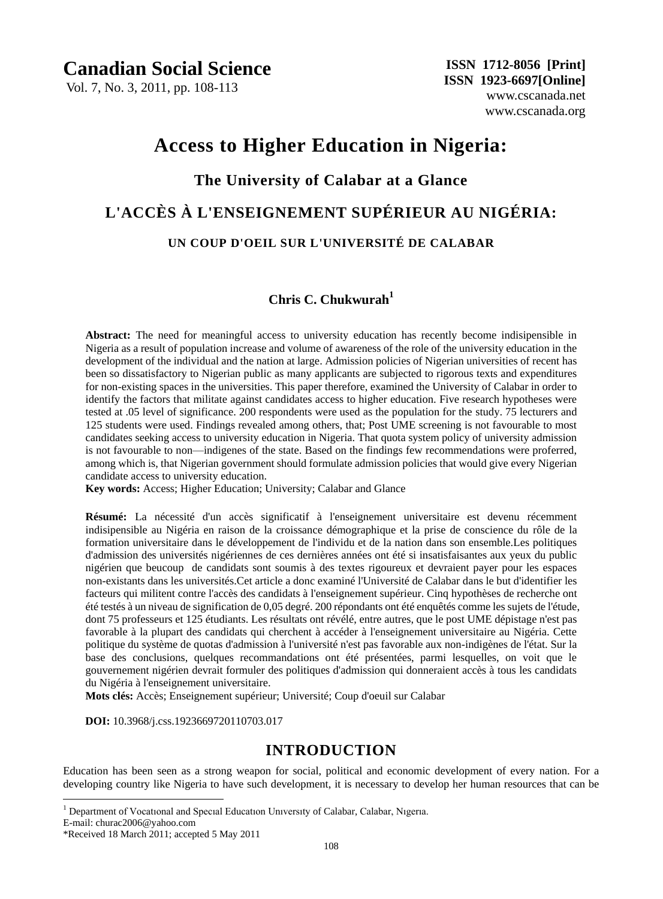# **Canadian Social Science**

Vol. 7, No. 3, 2011, pp. 108-113

# **Access to Higher Education in Nigeria:**

#### **The University of Calabar at a Glance**

# **L'ACCÈS À L'ENSEIGNEMENT SUPÉRIEUR AU NIGÉRIA: UN COUP D'OEIL SUR L'UNIVERSITÉ DE CALABAR**

## **Chris C. Chukwurah<sup>1</sup>**

**Abstract:** The need for meaningful access to university education has recently become indisipensible in Nigeria as a result of population increase and volume of awareness of the role of the university education in the development of the individual and the nation at large. Admission policies of Nigerian universities of recent has been so dissatisfactory to Nigerian public as many applicants are subjected to rigorous texts and expenditures for non-existing spaces in the universities. This paper therefore, examined the University of Calabar in order to identify the factors that militate against candidates access to higher education. Five research hypotheses were tested at .05 level of significance. 200 respondents were used as the population for the study. 75 lecturers and 125 students were used. Findings revealed among others, that; Post UME screening is not favourable to most candidates seeking access to university education in Nigeria. That quota system policy of university admission is not favourable to non—indigenes of the state. Based on the findings few recommendations were proferred, among which is, that Nigerian government should formulate admission policies that would give every Nigerian candidate access to university education.

**Key words:** Access; Higher Education; University; Calabar and Glance

**Résumé:** La nécessité d'un accès significatif à l'enseignement universitaire est devenu récemment indisipensible au Nigéria en raison de la croissance démographique et la prise de conscience du rôle de la formation universitaire dans le développement de l'individu et de la nation dans son ensemble.Les politiques d'admission des universités nigériennes de ces dernières années ont été si insatisfaisantes aux yeux du public nigérien que beucoup de candidats sont soumis à des textes rigoureux et devraient payer pour les espaces non-existants dans les universités.Cet article a donc examiné l'Université de Calabar dans le but d'identifier les facteurs qui militent contre l'accès des candidats à l'enseignement supérieur. Cinq hypothèses de recherche ont été testés à un niveau de signification de 0,05 degré. 200 répondants ont été enquêtés comme les sujets de l'étude, dont 75 professeurs et 125 étudiants. Les résultats ont révélé, entre autres, que le post UME dépistage n'est pas favorable à la plupart des candidats qui cherchent à accéder à l'enseignement universitaire au Nigéria. Cette politique du système de quotas d'admission à l'université n'est pas favorable aux non-indigènes de l'état. Sur la base des conclusions, quelques recommandations ont été présentées, parmi lesquelles, on voit que le gouvernement nigérien devrait formuler des politiques d'admission qui donneraient accès à tous les candidats du Nigéria à l'enseignement universitaire.

**Mots clés:** Accès; Enseignement supérieur; Université; Coup d'oeuil sur Calabar

 **DOI:** 10.3968/j.css.1923669720110703.017

#### **INTRODUCTION**

Education has been seen as a strong weapon for social, political and economic development of every nation. For a developing country like Nigeria to have such development, it is necessary to develop her human resources that can be

<sup>1</sup> Department of Vocational and Special Education University of Calabar, Calabar, Nigeria.

E-mail: churac2006@yahoo.com

 $\overline{a}$ 

<sup>\*</sup>Received 18 March 2011; accepted 5 May 2011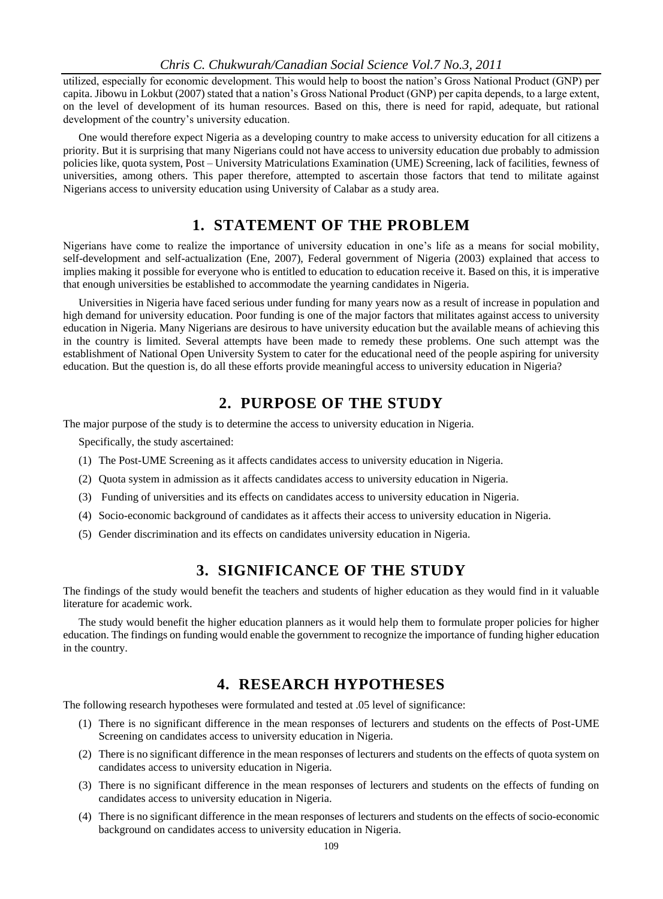#### *Chris C. Chukwurah/Canadian Social Science Vol.7 No.3, 2011*

utilized, especially for economic development. This would help to boost the nation's Gross National Product (GNP) per capita. Jibowu in Lokbut (2007) stated that a nation's Gross National Product (GNP) per capita depends, to a large extent, on the level of development of its human resources. Based on this, there is need for rapid, adequate, but rational development of the country's university education.

One would therefore expect Nigeria as a developing country to make access to university education for all citizens a priority. But it is surprising that many Nigerians could not have access to university education due probably to admission policies like, quota system, Post – University Matriculations Examination (UME) Screening, lack of facilities, fewness of universities, among others. This paper therefore, attempted to ascertain those factors that tend to militate against Nigerians access to university education using University of Calabar as a study area.

# **1. STATEMENT OF THE PROBLEM**

Nigerians have come to realize the importance of university education in one's life as a means for social mobility, self-development and self-actualization (Ene, 2007), Federal government of Nigeria (2003) explained that access to implies making it possible for everyone who is entitled to education to education receive it. Based on this, it is imperative that enough universities be established to accommodate the yearning candidates in Nigeria.

Universities in Nigeria have faced serious under funding for many years now as a result of increase in population and high demand for university education. Poor funding is one of the major factors that militates against access to university education in Nigeria. Many Nigerians are desirous to have university education but the available means of achieving this in the country is limited. Several attempts have been made to remedy these problems. One such attempt was the establishment of National Open University System to cater for the educational need of the people aspiring for university education. But the question is, do all these efforts provide meaningful access to university education in Nigeria?

#### **2. PURPOSE OF THE STUDY**

The major purpose of the study is to determine the access to university education in Nigeria.

Specifically, the study ascertained:

- (1) The Post-UME Screening as it affects candidates access to university education in Nigeria.
- (2) Quota system in admission as it affects candidates access to university education in Nigeria.
- (3) Funding of universities and its effects on candidates access to university education in Nigeria.
- (4) Socio-economic background of candidates as it affects their access to university education in Nigeria.
- (5) Gender discrimination and its effects on candidates university education in Nigeria.

## **3. SIGNIFICANCE OF THE STUDY**

The findings of the study would benefit the teachers and students of higher education as they would find in it valuable literature for academic work.

The study would benefit the higher education planners as it would help them to formulate proper policies for higher education. The findings on funding would enable the government to recognize the importance of funding higher education in the country.

#### **4. RESEARCH HYPOTHESES**

The following research hypotheses were formulated and tested at .05 level of significance:

- (1) There is no significant difference in the mean responses of lecturers and students on the effects of Post-UME Screening on candidates access to university education in Nigeria.
- (2) There is no significant difference in the mean responses of lecturers and students on the effects of quota system on candidates access to university education in Nigeria.
- (3) There is no significant difference in the mean responses of lecturers and students on the effects of funding on candidates access to university education in Nigeria.
- (4) There is no significant difference in the mean responses of lecturers and students on the effects of socio-economic background on candidates access to university education in Nigeria.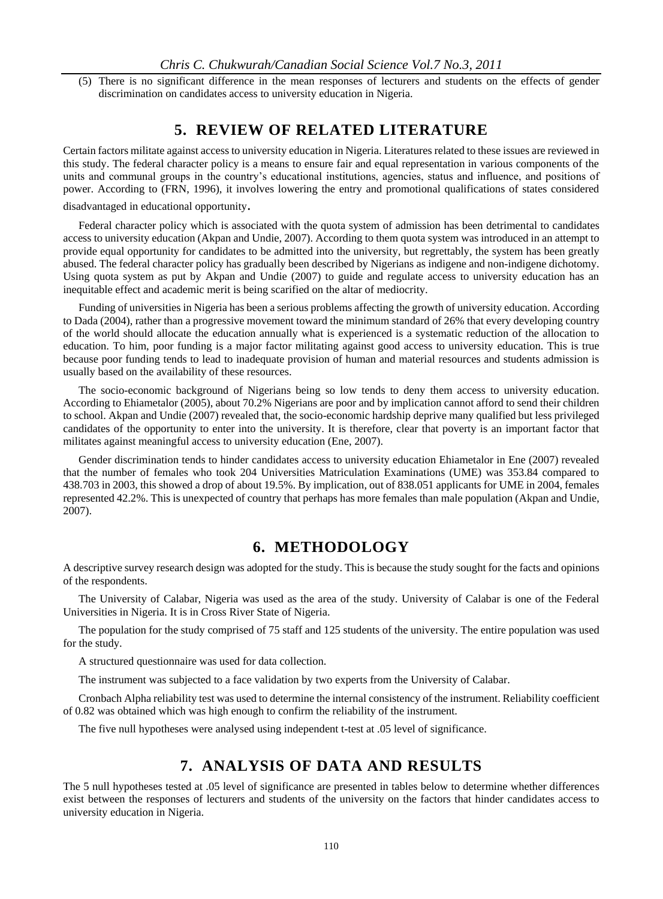(5) There is no significant difference in the mean responses of lecturers and students on the effects of gender discrimination on candidates access to university education in Nigeria.

#### **5. REVIEW OF RELATED LITERATURE**

Certain factors militate against access to university education in Nigeria. Literatures related to these issues are reviewed in this study. The federal character policy is a means to ensure fair and equal representation in various components of the units and communal groups in the country's educational institutions, agencies, status and influence, and positions of power. According to (FRN, 1996), it involves lowering the entry and promotional qualifications of states considered

disadvantaged in educational opportunity.

Federal character policy which is associated with the quota system of admission has been detrimental to candidates access to university education (Akpan and Undie, 2007). According to them quota system was introduced in an attempt to provide equal opportunity for candidates to be admitted into the university, but regrettably, the system has been greatly abused. The federal character policy has gradually been described by Nigerians as indigene and non-indigene dichotomy. Using quota system as put by Akpan and Undie (2007) to guide and regulate access to university education has an inequitable effect and academic merit is being scarified on the altar of mediocrity.

Funding of universities in Nigeria has been a serious problems affecting the growth of university education. According to Dada (2004), rather than a progressive movement toward the minimum standard of 26% that every developing country of the world should allocate the education annually what is experienced is a systematic reduction of the allocation to education. To him, poor funding is a major factor militating against good access to university education. This is true because poor funding tends to lead to inadequate provision of human and material resources and students admission is usually based on the availability of these resources.

The socio-economic background of Nigerians being so low tends to deny them access to university education. According to Ehiametalor (2005), about 70.2% Nigerians are poor and by implication cannot afford to send their children to school. Akpan and Undie (2007) revealed that, the socio-economic hardship deprive many qualified but less privileged candidates of the opportunity to enter into the university. It is therefore, clear that poverty is an important factor that militates against meaningful access to university education (Ene, 2007).

Gender discrimination tends to hinder candidates access to university education Ehiametalor in Ene (2007) revealed that the number of females who took 204 Universities Matriculation Examinations (UME) was 353.84 compared to 438.703 in 2003, this showed a drop of about 19.5%. By implication, out of 838.051 applicants for UME in 2004, females represented 42.2%. This is unexpected of country that perhaps has more females than male population (Akpan and Undie, 2007).

#### **6. METHODOLOGY**

A descriptive survey research design was adopted for the study. This is because the study sought for the facts and opinions of the respondents.

The University of Calabar, Nigeria was used as the area of the study. University of Calabar is one of the Federal Universities in Nigeria. It is in Cross River State of Nigeria.

The population for the study comprised of 75 staff and 125 students of the university. The entire population was used for the study.

A structured questionnaire was used for data collection.

The instrument was subjected to a face validation by two experts from the University of Calabar.

Cronbach Alpha reliability test was used to determine the internal consistency of the instrument. Reliability coefficient of 0.82 was obtained which was high enough to confirm the reliability of the instrument.

The five null hypotheses were analysed using independent t-test at .05 level of significance.

# **7. ANALYSIS OF DATA AND RESULTS**

The 5 null hypotheses tested at .05 level of significance are presented in tables below to determine whether differences exist between the responses of lecturers and students of the university on the factors that hinder candidates access to university education in Nigeria.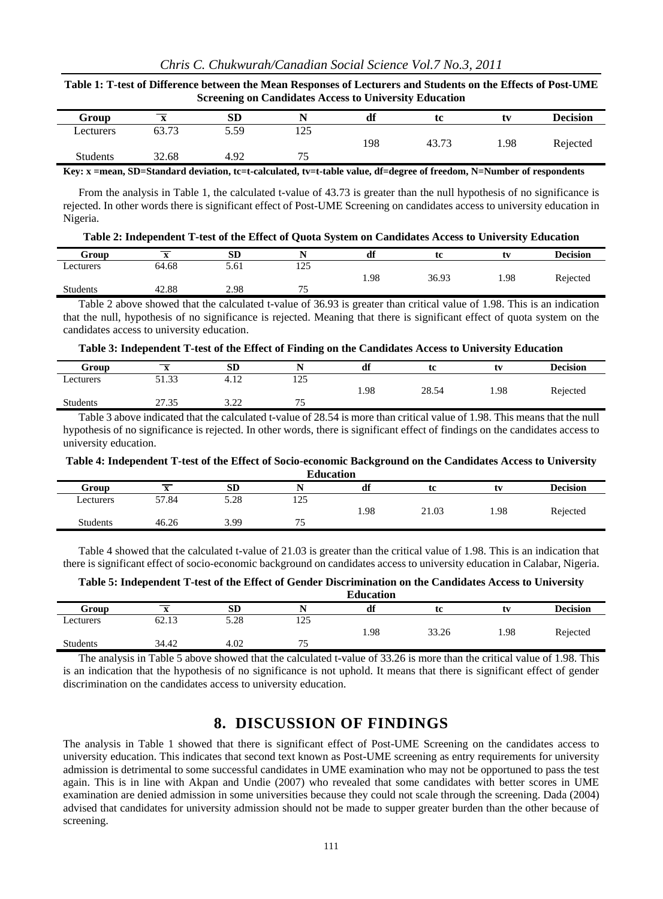#### **Table 1: T-test of Difference between the Mean Responses of Lecturers and Students on the Effects of Post-UME Screening on Candidates Access to University Education**

| Group           | $\Delta$ | <b>SD</b> |             | df  | tc    | tv   | <b>Decision</b> |
|-----------------|----------|-----------|-------------|-----|-------|------|-----------------|
| Lecturers       | 63.73    | 5.59      | 1つく<br>رے ت |     |       |      |                 |
|                 |          |           |             | 198 | 43.7. | 1.98 | Rejected        |
| <b>Students</b> | 32.68    | 4.92      | 75<br>ر_∍   |     |       |      |                 |

**Key: x =mean, SD=Standard deviation, tc=t-calculated, tv=t-table value, df=degree of freedom, N=Number of respondents** 

From the analysis in Table 1, the calculated t-value of 43.73 is greater than the null hypothesis of no significance is rejected. In other words there is significant effect of Post-UME Screening on candidates access to university education in Nigeria.

| Table 2: Independent T-test of the Effect of Quota System on Candidates Access to University Education |  |  |
|--------------------------------------------------------------------------------------------------------|--|--|
|--------------------------------------------------------------------------------------------------------|--|--|

| Group           |       | <b>SD</b> | $\mathbf{v}$                 | df   | m<br>๊ | tv   | <b>Decision</b> |
|-----------------|-------|-----------|------------------------------|------|--------|------|-----------------|
| Lecturers       | 64.68 | 5.61      | $1 \cap \mathcal{L}$<br>رے 1 |      |        |      |                 |
|                 |       |           |                              | 1.98 | 36.93  | 1.98 | Rejected        |
| <b>Students</b> | 42.88 | 2.98      | --<br>ر ،                    |      |        |      |                 |
|                 |       |           |                              |      |        |      |                 |

Table 2 above showed that the calculated t-value of 36.93 is greater than critical value of 1.98. This is an indication that the null, hypothesis of no significance is rejected. Meaning that there is significant effect of quota system on the candidates access to university education.

#### **Table 3: Independent T-test of the Effect of Finding on the Candidates Access to University Education**

| Group           | ◚     | <b>SD</b>      |                       | df   | tc    | tv   | <b>Decision</b> |
|-----------------|-------|----------------|-----------------------|------|-------|------|-----------------|
| Lecturers       | 51.33 | 12<br>4.12     | $1 \cap 5$<br>⊥∠J     |      |       |      |                 |
|                 |       |                |                       | 1.98 | 28.54 | 1.98 | Rejected        |
| <b>Students</b> | 27.35 | 2.22<br>ے کے ب | $\overline{a}$<br>. J |      |       |      |                 |

Table 3 above indicated that the calculated t-value of 28.54 is more than critical value of 1.98. This means that the null hypothesis of no significance is rejected. In other words, there is significant effect of findings on the candidates access to university education.

#### **Table 4: Independent T-test of the Effect of Socio-economic Background on the Candidates Access to University**

| <b>Education</b> |       |           |                                 |      |       |      |                 |
|------------------|-------|-----------|---------------------------------|------|-------|------|-----------------|
| Group            |       | <b>SD</b> |                                 | df   | tc    | tv   | <b>Decision</b> |
| Lecturers        | 57.84 | 5.28      | 125                             |      |       |      |                 |
|                  |       |           |                                 | 1.98 | 21.03 | 1.98 | Rejected        |
| <b>Students</b>  | 46.26 | 3.99      | $\overline{\phantom{a}}$<br>ر_. |      |       |      |                 |
|                  |       |           |                                 |      |       |      |                 |

Table 4 showed that the calculated t-value of 21.03 is greater than the critical value of 1.98. This is an indication that there is significant effect of socio-economic background on candidates access to university education in Calabar, Nigeria.

#### **Table 5: Independent T-test of the Effect of Gender Discrimination on the Candidates Access to University**

|           | <b>Education</b> |           |               |      |       |      |                 |
|-----------|------------------|-----------|---------------|------|-------|------|-----------------|
| Group     |                  | <b>SD</b> |               | df   | tc    | tv   | <b>Decision</b> |
| Lecturers | 62.13            | 5.28      | $\cap$<br>129 |      |       |      |                 |
|           |                  |           |               | 1.98 | 33.26 | 1.98 | Rejected        |
| Students  | 34.42            | 4.02      | ີ             |      |       |      |                 |

The analysis in Table 5 above showed that the calculated t-value of 33.26 is more than the critical value of 1.98. This is an indication that the hypothesis of no significance is not uphold. It means that there is significant effect of gender discrimination on the candidates access to university education.

# **8. DISCUSSION OF FINDINGS**

The analysis in Table 1 showed that there is significant effect of Post-UME Screening on the candidates access to university education. This indicates that second text known as Post-UME screening as entry requirements for university admission is detrimental to some successful candidates in UME examination who may not be opportuned to pass the test again. This is in line with Akpan and Undie (2007) who revealed that some candidates with better scores in UME examination are denied admission in some universities because they could not scale through the screening. Dada (2004) advised that candidates for university admission should not be made to supper greater burden than the other because of screening.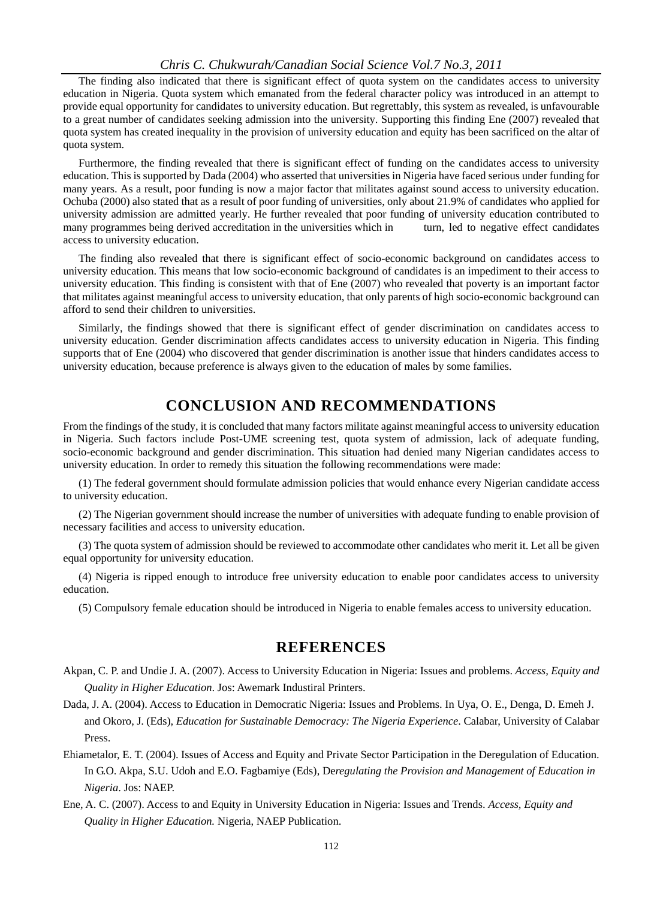#### *Chris C. Chukwurah/Canadian Social Science Vol.7 No.3, 2011*

The finding also indicated that there is significant effect of quota system on the candidates access to university education in Nigeria. Quota system which emanated from the federal character policy was introduced in an attempt to provide equal opportunity for candidates to university education. But regrettably, this system as revealed, is unfavourable to a great number of candidates seeking admission into the university. Supporting this finding Ene (2007) revealed that quota system has created inequality in the provision of university education and equity has been sacrificed on the altar of quota system.

Furthermore, the finding revealed that there is significant effect of funding on the candidates access to university education. This is supported by Dada (2004) who asserted that universities in Nigeria have faced serious under funding for many years. As a result, poor funding is now a major factor that militates against sound access to university education. Ochuba (2000) also stated that as a result of poor funding of universities, only about 21.9% of candidates who applied for university admission are admitted yearly. He further revealed that poor funding of university education contributed to many programmes being derived accreditation in the universities which in turn, led to negative effect candidates access to university education.

The finding also revealed that there is significant effect of socio-economic background on candidates access to university education. This means that low socio-economic background of candidates is an impediment to their access to university education. This finding is consistent with that of Ene (2007) who revealed that poverty is an important factor that militates against meaningful access to university education, that only parents of high socio-economic background can afford to send their children to universities.

Similarly, the findings showed that there is significant effect of gender discrimination on candidates access to university education. Gender discrimination affects candidates access to university education in Nigeria. This finding supports that of Ene (2004) who discovered that gender discrimination is another issue that hinders candidates access to university education, because preference is always given to the education of males by some families.

#### **CONCLUSION AND RECOMMENDATIONS**

From the findings of the study, it is concluded that many factors militate against meaningful access to university education in Nigeria. Such factors include Post-UME screening test, quota system of admission, lack of adequate funding, socio-economic background and gender discrimination. This situation had denied many Nigerian candidates access to university education. In order to remedy this situation the following recommendations were made:

(1) The federal government should formulate admission policies that would enhance every Nigerian candidate access to university education.

(2) The Nigerian government should increase the number of universities with adequate funding to enable provision of necessary facilities and access to university education.

(3) The quota system of admission should be reviewed to accommodate other candidates who merit it. Let all be given equal opportunity for university education.

(4) Nigeria is ripped enough to introduce free university education to enable poor candidates access to university education.

(5) Compulsory female education should be introduced in Nigeria to enable females access to university education.

#### **REFERENCES**

- Akpan, C. P. and Undie J. A. (2007). Access to University Education in Nigeria: Issues and problems. *Access, Equity and Quality in Higher Education*. Jos: Awemark Industiral Printers.
- Dada, J. A. (2004). Access to Education in Democratic Nigeria: Issues and Problems. In Uya, O. E., Denga, D. Emeh J. and Okoro, J. (Eds), *Education for Sustainable Democracy: The Nigeria Experience*. Calabar, University of Calabar Press.
- Ehiametalor, E. T. (2004). Issues of Access and Equity and Private Sector Participation in the Deregulation of Education. In G.O. Akpa, S.U. Udoh and E.O. Fagbamiye (Eds), De*regulating the Provision and Management of Education in Nigeria*. Jos: NAEP.
- Ene, A. C. (2007). Access to and Equity in University Education in Nigeria: Issues and Trends. *Access, Equity and Quality in Higher Education.* Nigeria, NAEP Publication.